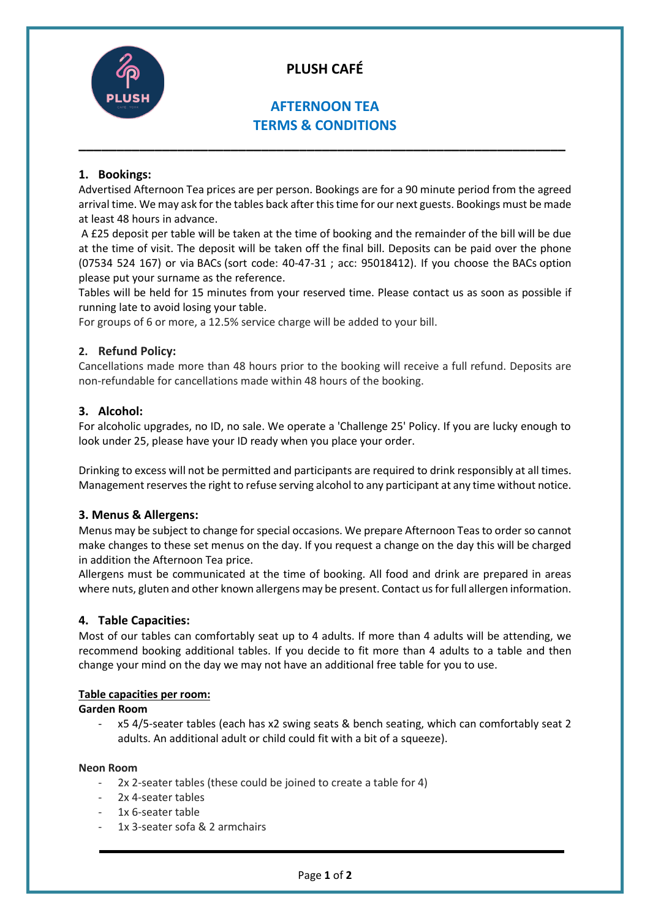

# **PLUSH CAFÉ**

# **AFTERNOON TEA TERMS & CONDITIONS**

**\_\_\_\_\_\_\_\_\_\_\_\_\_\_\_\_\_\_\_\_\_\_\_\_\_\_\_\_\_\_\_\_\_\_\_\_\_\_\_\_\_\_\_\_\_\_\_\_\_\_\_\_\_\_\_\_\_\_\_\_\_\_\_\_**

# **1. Bookings:**

Advertised Afternoon Tea prices are per person. Bookings are for a 90 minute period from the agreed arrival time. We may ask for the tables back after this time for our next guests. Bookings must be made at least 48 hours in advance.

A £25 deposit per table will be taken at the time of booking and the remainder of the bill will be due at the time of visit. The deposit will be taken off the final bill. Deposits can be paid over the phone (07534 524 167) or via BACs (sort code: 40-47-31 ; acc: 95018412). If you choose the BACs option please put your surname as the reference.

Tables will be held for 15 minutes from your reserved time. Please contact us as soon as possible if running late to avoid losing your table.

For groups of 6 or more, a 12.5% service charge will be added to your bill.

# **2. Refund Policy:**

Cancellations made more than 48 hours prior to the booking will receive a full refund. Deposits are non-refundable for cancellations made within 48 hours of the booking.

# **3. Alcohol:**

For alcoholic upgrades, no ID, no sale. We operate a 'Challenge 25' Policy. If you are lucky enough to look under 25, please have your ID ready when you place your order.

Drinking to excess will not be permitted and participants are required to drink responsibly at all times. Management reserves the right to refuse serving alcohol to any participant at any time without notice.

### **3. Menus & Allergens:**

Menus may be subject to change for special occasions. We prepare Afternoon Teas to order so cannot make changes to these set menus on the day. If you request a change on the day this will be charged in addition the Afternoon Tea price.

Allergens must be communicated at the time of booking. All food and drink are prepared in areas where nuts, gluten and other known allergens may be present. Contact us for full allergen information.

### **4. Table Capacities:**

Most of our tables can comfortably seat up to 4 adults. If more than 4 adults will be attending, we recommend booking additional tables. If you decide to fit more than 4 adults to a table and then change your mind on the day we may not have an additional free table for you to use.

# **Table capacities per room:**

**Garden Room**

- x5 4/5-seater tables (each has x2 swing seats & bench seating, which can comfortably seat 2 adults. An additional adult or child could fit with a bit of a squeeze).

#### **Neon Room**

- 2x 2-seater tables (these could be joined to create a table for 4)
- 2x 4-seater tables
- 1x 6-seater table
- 1x 3-seater sofa & 2 armchairs